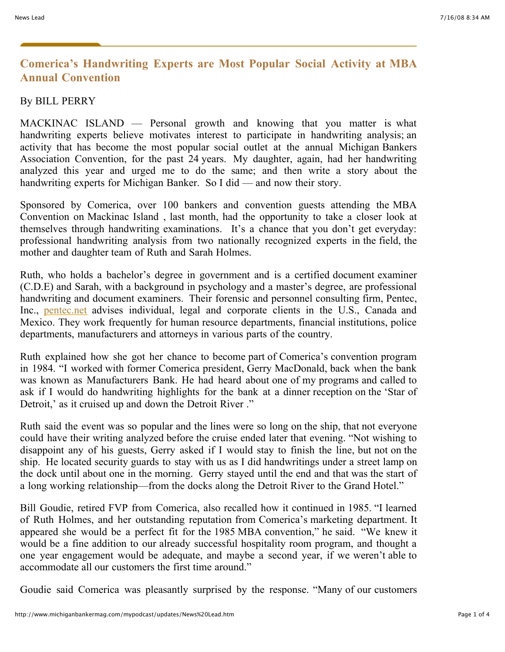# **Comerica's Handwriting Experts are Most Popular Social Activity at MBA Annual Convention**

## By BILL PERRY

MACKINAC ISLAND — Personal growth and knowing that you matter is what handwriting experts believe motivates interest to participate in handwriting analysis; an activity that has become the most popular social outlet at the annual Michigan Bankers Association Convention, for the past 24 years. My daughter, again, had her handwriting analyzed this year and urged me to do the same; and then write a story about the handwriting experts for Michigan Banker. So I did — and now their story.

Sponsored by Comerica, over 100 bankers and convention guests attending the MBA Convention on Mackinac Island , last month, had the opportunity to take a closer look at themselves through handwriting examinations. It's a chance that you don't get everyday: professional handwriting analysis from two nationally recognized experts in the field, the mother and daughter team of Ruth and Sarah Holmes.

Ruth, who holds a bachelor's degree in government and is a certified document examiner (C.D.E) and Sarah, with a background in psychology and a master's degree, are professional handwriting and document examiners. Their forensic and personnel consulting firm, Pentec, Inc., [pentec.net](http://www.pentec.net/) advises individual, legal and corporate clients in the U.S., Canada and Mexico. They work frequently for human resource departments, financial institutions, police departments, manufacturers and attorneys in various parts of the country.

Ruth explained how she got her chance to become part of Comerica's convention program in 1984. "I worked with former Comerica president, Gerry MacDonald, back when the bank was known as Manufacturers Bank. He had heard about one of my programs and called to ask if I would do handwriting highlights for the bank at a dinner reception on the 'Star of Detroit,' as it cruised up and down the Detroit River ."

Ruth said the event was so popular and the lines were so long on the ship, that not everyone could have their writing analyzed before the cruise ended later that evening. "Not wishing to disappoint any of his guests, Gerry asked if I would stay to finish the line, but not on the ship. He located security guards to stay with us as I did handwritings under a street lamp on the dock until about one in the morning. Gerry stayed until the end and that was the start of a long working relationship—from the docks along the Detroit River to the Grand Hotel."

Bill Goudie, retired FVP from Comerica, also recalled how it continued in 1985. "I learned of Ruth Holmes, and her outstanding reputation from Comerica's marketing department. It appeared she would be a perfect fit for the 1985 MBA convention," he said. "We knew it would be a fine addition to our already successful hospitality room program, and thought a one year engagement would be adequate, and maybe a second year, if we weren't able to accommodate all our customers the first time around."

Goudie said Comerica was pleasantly surprised by the response. "Many of our customers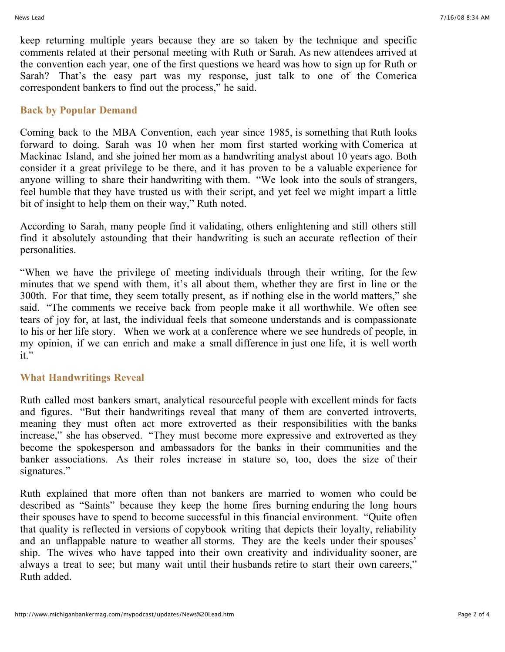keep returning multiple years because they are so taken by the technique and specific comments related at their personal meeting with Ruth or Sarah. As new attendees arrived at the convention each year, one of the first questions we heard was how to sign up for Ruth or Sarah? That's the easy part was my response, just talk to one of the Comerica correspondent bankers to find out the process," he said.

### **Back by Popular Demand**

Coming back to the MBA Convention, each year since 1985, is something that Ruth looks forward to doing. Sarah was 10 when her mom first started working with Comerica at Mackinac Island, and she joined her mom as a handwriting analyst about 10 years ago. Both consider it a great privilege to be there, and it has proven to be a valuable experience for anyone willing to share their handwriting with them. "We look into the souls of strangers, feel humble that they have trusted us with their script, and yet feel we might impart a little bit of insight to help them on their way," Ruth noted.

According to Sarah, many people find it validating, others enlightening and still others still find it absolutely astounding that their handwriting is such an accurate reflection of their personalities.

"When we have the privilege of meeting individuals through their writing, for the few minutes that we spend with them, it's all about them, whether they are first in line or the 300th. For that time, they seem totally present, as if nothing else in the world matters," she said. "The comments we receive back from people make it all worthwhile. We often see tears of joy for, at last, the individual feels that someone understands and is compassionate to his or her life story. When we work at a conference where we see hundreds of people, in my opinion, if we can enrich and make a small difference in just one life, it is well worth it."

#### **What Handwritings Reveal**

Ruth called most bankers smart, analytical resourceful people with excellent minds for facts and figures. "But their handwritings reveal that many of them are converted introverts, meaning they must often act more extroverted as their responsibilities with the banks increase," she has observed. "They must become more expressive and extroverted as they become the spokesperson and ambassadors for the banks in their communities and the banker associations. As their roles increase in stature so, too, does the size of their signatures."

Ruth explained that more often than not bankers are married to women who could be described as "Saints" because they keep the home fires burning enduring the long hours their spouses have to spend to become successful in this financial environment. "Quite often that quality is reflected in versions of copybook writing that depicts their loyalty, reliability and an unflappable nature to weather all storms. They are the keels under their spouses' ship. The wives who have tapped into their own creativity and individuality sooner, are always a treat to see; but many wait until their husbands retire to start their own careers," Ruth added.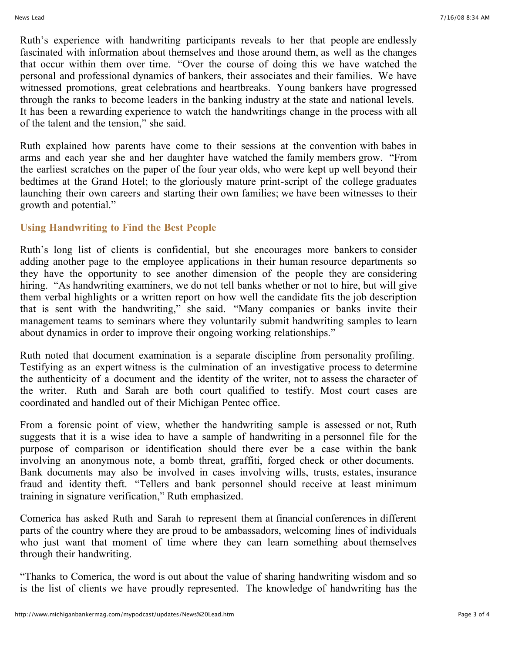Ruth's experience with handwriting participants reveals to her that people are endlessly fascinated with information about themselves and those around them, as well as the changes that occur within them over time. "Over the course of doing this we have watched the personal and professional dynamics of bankers, their associates and their families. We have witnessed promotions, great celebrations and heartbreaks. Young bankers have progressed through the ranks to become leaders in the banking industry at the state and national levels. It has been a rewarding experience to watch the handwritings change in the process with all of the talent and the tension," she said.

Ruth explained how parents have come to their sessions at the convention with babes in arms and each year she and her daughter have watched the family members grow. "From the earliest scratches on the paper of the four year olds, who were kept up well beyond their bedtimes at the Grand Hotel; to the gloriously mature print-script of the college graduates launching their own careers and starting their own families; we have been witnesses to their growth and potential."

## **Using Handwriting to Find the Best People**

Ruth's long list of clients is confidential, but she encourages more bankers to consider adding another page to the employee applications in their human resource departments so they have the opportunity to see another dimension of the people they are considering hiring. "As handwriting examiners, we do not tell banks whether or not to hire, but will give them verbal highlights or a written report on how well the candidate fits the job description that is sent with the handwriting," she said. "Many companies or banks invite their management teams to seminars where they voluntarily submit handwriting samples to learn about dynamics in order to improve their ongoing working relationships."

Ruth noted that document examination is a separate discipline from personality profiling. Testifying as an expert witness is the culmination of an investigative process to determine the authenticity of a document and the identity of the writer, not to assess the character of the writer. Ruth and Sarah are both court qualified to testify. Most court cases are coordinated and handled out of their Michigan Pentec office.

From a forensic point of view, whether the handwriting sample is assessed or not, Ruth suggests that it is a wise idea to have a sample of handwriting in a personnel file for the purpose of comparison or identification should there ever be a case within the bank involving an anonymous note, a bomb threat, graffiti, forged check or other documents. Bank documents may also be involved in cases involving wills, trusts, estates, insurance fraud and identity theft. "Tellers and bank personnel should receive at least minimum training in signature verification," Ruth emphasized.

Comerica has asked Ruth and Sarah to represent them at financial conferences in different parts of the country where they are proud to be ambassadors, welcoming lines of individuals who just want that moment of time where they can learn something about themselves through their handwriting.

"Thanks to Comerica, the word is out about the value of sharing handwriting wisdom and so is the list of clients we have proudly represented. The knowledge of handwriting has the